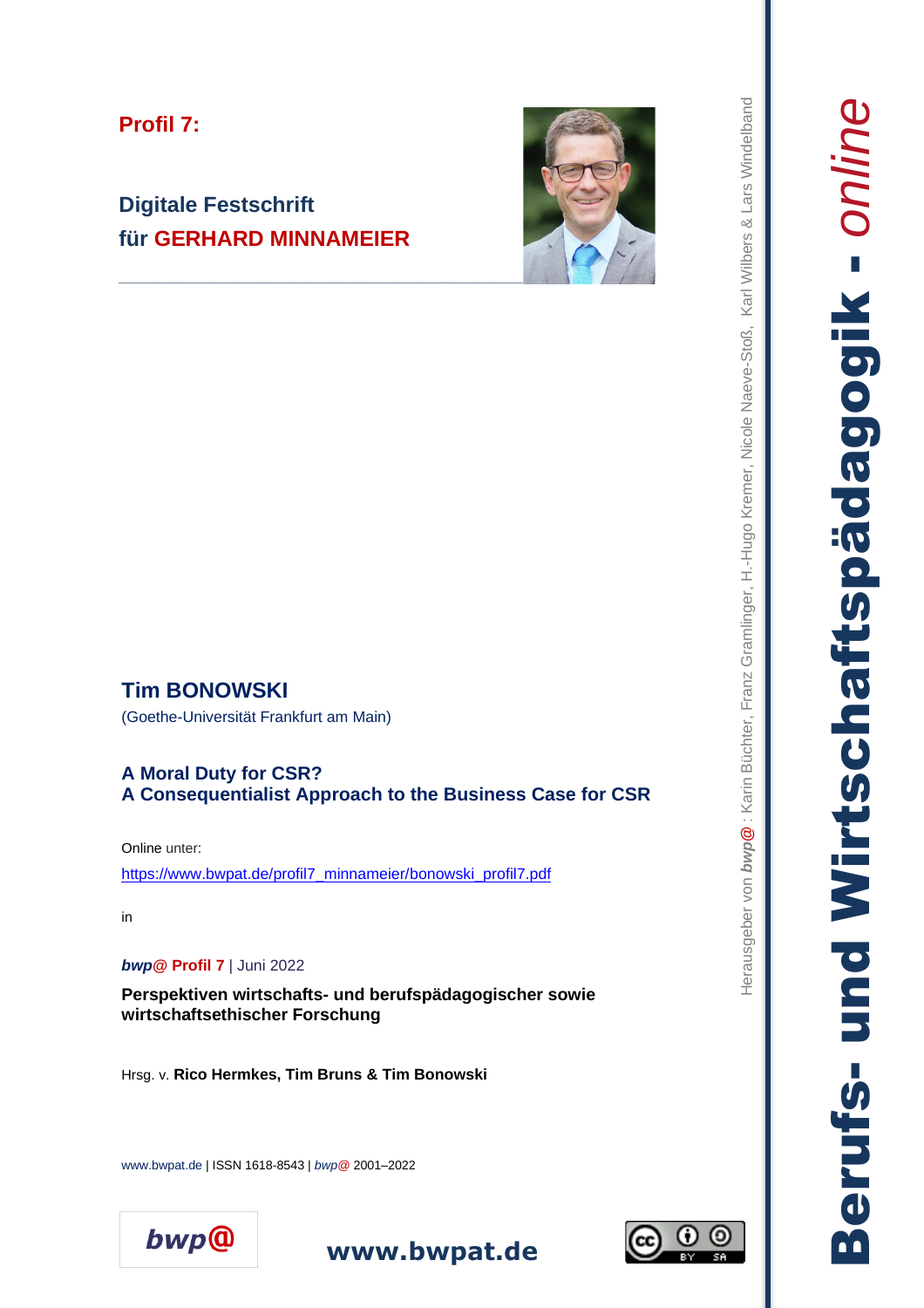# **Profil 7:**

# **Digitale Festschrift für GERHARD MINNAMEIER**



# **Tim BONOWSKI**

(Goethe-Universität Frankfurt am Main )

#### **A Moral Duty for CSR? A Consequentialist Approach to the Business Case for CSR**

Online unter:

[https://www.bwpat.de/profil7\\_minnameier/bonowski\\_profil7.pdf](https://www.bwpat.de/profil7_minnameier/bonowski_profil7.pdf)

in

*bwp***@ Profil 7** | Juni 2022

**Perspektiven wirtschafts - und berufspädagogischer sowie wirtschaftsethischer Forschung**

Hrsg. v. **Rico Hermkes, Tim Bruns & Tim Bonowsk i**

www.bwpat.de | ISSN 1618 -8543 | *bwp @* 2001 –2022





Herausgeber von *bwp***@** : Karin Büchter, Franz Gramlinger, H.-Hugo Kremer, Nicole Naeve-Stoß, Karl Wilbers & Lars Windelband . Herausgeber von buyp@: Karin Büchter, Franz Gramlinger, H.-Hugo Kremer, Nicole Naeve-Stoß, Karl Wilbers & Lars Windelband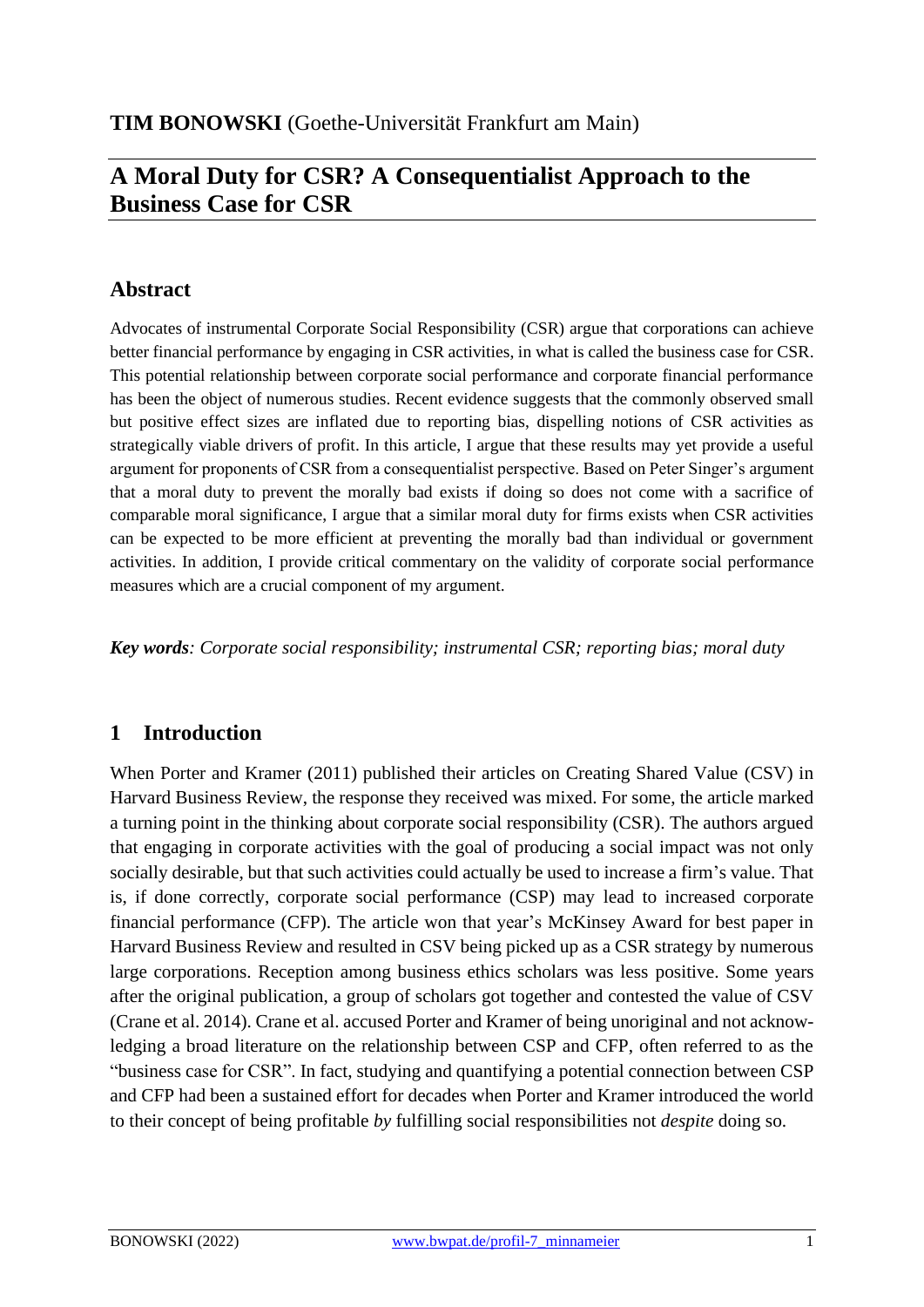# **A Moral Duty for CSR? A Consequentialist Approach to the Business Case for CSR**

# **Abstract**

Advocates of instrumental Corporate Social Responsibility (CSR) argue that corporations can achieve better financial performance by engaging in CSR activities, in what is called the business case for CSR. This potential relationship between corporate social performance and corporate financial performance has been the object of numerous studies. Recent evidence suggests that the commonly observed small but positive effect sizes are inflated due to reporting bias, dispelling notions of CSR activities as strategically viable drivers of profit. In this article, I argue that these results may yet provide a useful argument for proponents of CSR from a consequentialist perspective. Based on Peter Singer's argument that a moral duty to prevent the morally bad exists if doing so does not come with a sacrifice of comparable moral significance, I argue that a similar moral duty for firms exists when CSR activities can be expected to be more efficient at preventing the morally bad than individual or government activities. In addition, I provide critical commentary on the validity of corporate social performance measures which are a crucial component of my argument.

*Key words: Corporate social responsibility; instrumental CSR; reporting bias; moral duty*

## **1 Introduction**

When Porter and Kramer (2011) published their articles on Creating Shared Value (CSV) in Harvard Business Review, the response they received was mixed. For some, the article marked a turning point in the thinking about corporate social responsibility (CSR). The authors argued that engaging in corporate activities with the goal of producing a social impact was not only socially desirable, but that such activities could actually be used to increase a firm's value. That is, if done correctly, corporate social performance (CSP) may lead to increased corporate financial performance (CFP). The article won that year's McKinsey Award for best paper in Harvard Business Review and resulted in CSV being picked up as a CSR strategy by numerous large corporations. Reception among business ethics scholars was less positive. Some years after the original publication, a group of scholars got together and contested the value of CSV (Crane et al. 2014). Crane et al. accused Porter and Kramer of being unoriginal and not acknowledging a broad literature on the relationship between CSP and CFP, often referred to as the "business case for CSR". In fact, studying and quantifying a potential connection between CSP and CFP had been a sustained effort for decades when Porter and Kramer introduced the world to their concept of being profitable *by* fulfilling social responsibilities not *despite* doing so.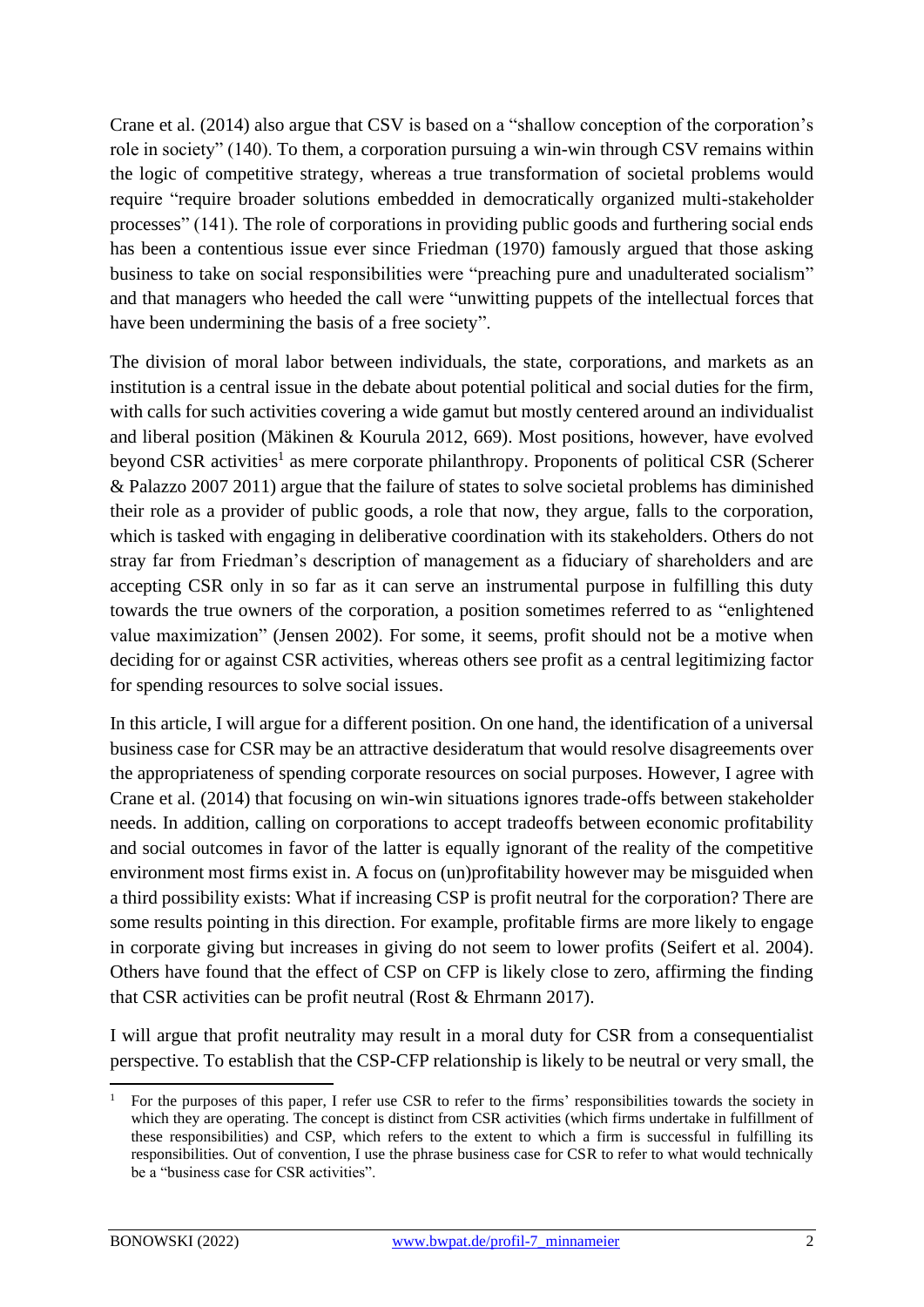Crane et al. (2014) also argue that CSV is based on a "shallow conception of the corporation's role in society" (140). To them, a corporation pursuing a win-win through CSV remains within the logic of competitive strategy, whereas a true transformation of societal problems would require "require broader solutions embedded in democratically organized multi-stakeholder processes" (141). The role of corporations in providing public goods and furthering social ends has been a contentious issue ever since Friedman (1970) famously argued that those asking business to take on social responsibilities were "preaching pure and unadulterated socialism" and that managers who heeded the call were "unwitting puppets of the intellectual forces that have been undermining the basis of a free society".

The division of moral labor between individuals, the state, corporations, and markets as an institution is a central issue in the debate about potential political and social duties for the firm, with calls for such activities covering a wide gamut but mostly centered around an individualist and liberal position (Mäkinen & Kourula 2012, 669). Most positions, however, have evolved beyond CSR activities<sup>1</sup> as mere corporate philanthropy. Proponents of political CSR (Scherer & Palazzo 2007 2011) argue that the failure of states to solve societal problems has diminished their role as a provider of public goods, a role that now, they argue, falls to the corporation, which is tasked with engaging in deliberative coordination with its stakeholders. Others do not stray far from Friedman's description of management as a fiduciary of shareholders and are accepting CSR only in so far as it can serve an instrumental purpose in fulfilling this duty towards the true owners of the corporation, a position sometimes referred to as "enlightened value maximization" (Jensen 2002). For some, it seems, profit should not be a motive when deciding for or against CSR activities, whereas others see profit as a central legitimizing factor for spending resources to solve social issues.

In this article, I will argue for a different position. On one hand, the identification of a universal business case for CSR may be an attractive desideratum that would resolve disagreements over the appropriateness of spending corporate resources on social purposes. However, I agree with Crane et al. (2014) that focusing on win-win situations ignores trade-offs between stakeholder needs. In addition, calling on corporations to accept tradeoffs between economic profitability and social outcomes in favor of the latter is equally ignorant of the reality of the competitive environment most firms exist in. A focus on (un)profitability however may be misguided when a third possibility exists: What if increasing CSP is profit neutral for the corporation? There are some results pointing in this direction. For example, profitable firms are more likely to engage in corporate giving but increases in giving do not seem to lower profits (Seifert et al. 2004). Others have found that the effect of CSP on CFP is likely close to zero, affirming the finding that CSR activities can be profit neutral (Rost & Ehrmann 2017).

I will argue that profit neutrality may result in a moral duty for CSR from a consequentialist perspective. To establish that the CSP-CFP relationship is likely to be neutral or very small, the

<sup>1</sup> For the purposes of this paper, I refer use CSR to refer to the firms' responsibilities towards the society in which they are operating. The concept is distinct from CSR activities (which firms undertake in fulfillment of these responsibilities) and CSP, which refers to the extent to which a firm is successful in fulfilling its responsibilities. Out of convention, I use the phrase business case for CSR to refer to what would technically be a "business case for CSR activities".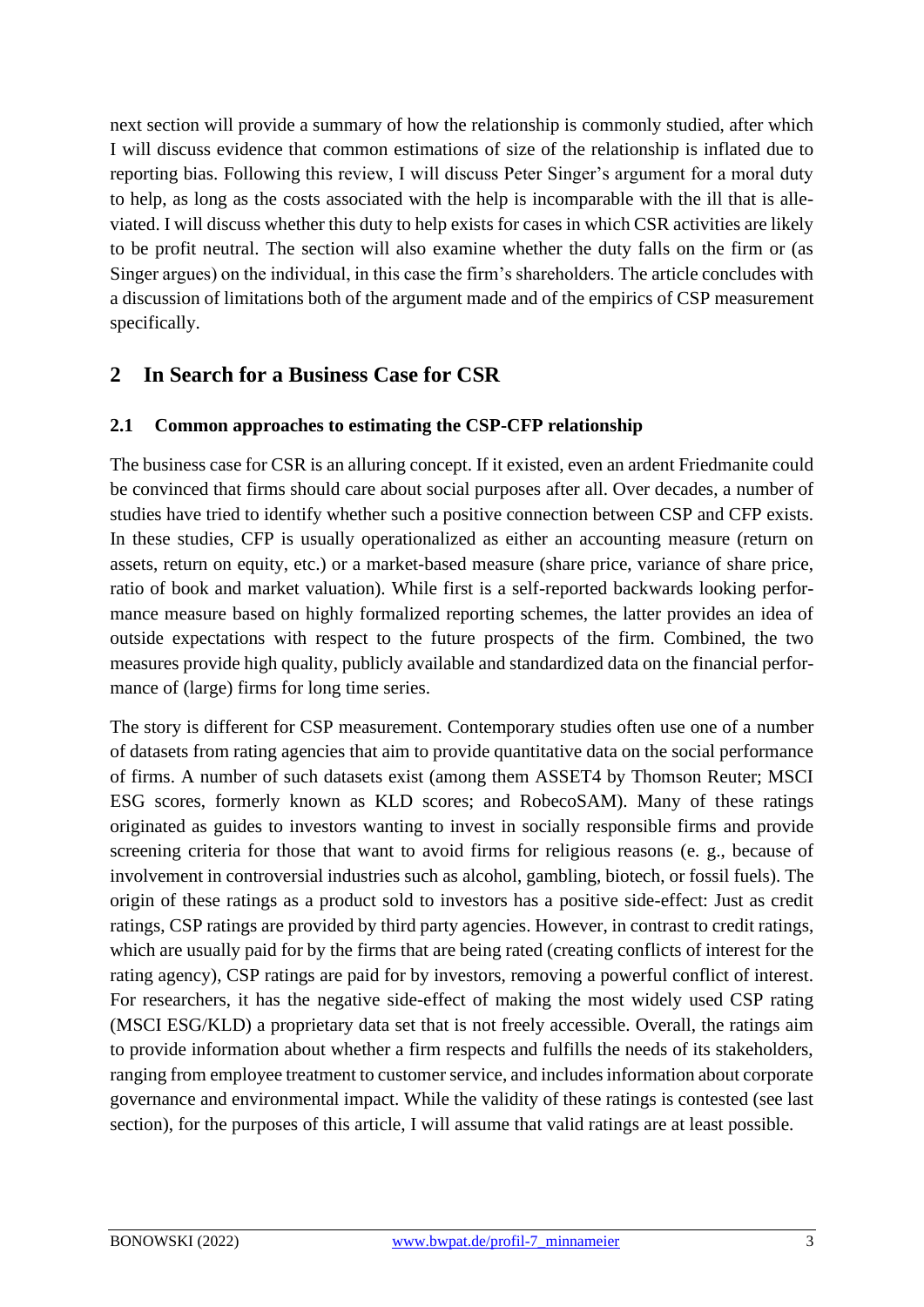next section will provide a summary of how the relationship is commonly studied, after which I will discuss evidence that common estimations of size of the relationship is inflated due to reporting bias. Following this review, I will discuss Peter Singer's argument for a moral duty to help, as long as the costs associated with the help is incomparable with the ill that is alleviated. I will discuss whether this duty to help exists for cases in which CSR activities are likely to be profit neutral. The section will also examine whether the duty falls on the firm or (as Singer argues) on the individual, in this case the firm's shareholders. The article concludes with a discussion of limitations both of the argument made and of the empirics of CSP measurement specifically.

## **2 In Search for a Business Case for CSR**

#### **2.1 Common approaches to estimating the CSP-CFP relationship**

The business case for CSR is an alluring concept. If it existed, even an ardent Friedmanite could be convinced that firms should care about social purposes after all. Over decades, a number of studies have tried to identify whether such a positive connection between CSP and CFP exists. In these studies, CFP is usually operationalized as either an accounting measure (return on assets, return on equity, etc.) or a market-based measure (share price, variance of share price, ratio of book and market valuation). While first is a self-reported backwards looking performance measure based on highly formalized reporting schemes, the latter provides an idea of outside expectations with respect to the future prospects of the firm. Combined, the two measures provide high quality, publicly available and standardized data on the financial performance of (large) firms for long time series.

The story is different for CSP measurement. Contemporary studies often use one of a number of datasets from rating agencies that aim to provide quantitative data on the social performance of firms. A number of such datasets exist (among them ASSET4 by Thomson Reuter; MSCI ESG scores, formerly known as KLD scores; and RobecoSAM). Many of these ratings originated as guides to investors wanting to invest in socially responsible firms and provide screening criteria for those that want to avoid firms for religious reasons (e. g., because of involvement in controversial industries such as alcohol, gambling, biotech, or fossil fuels). The origin of these ratings as a product sold to investors has a positive side-effect: Just as credit ratings, CSP ratings are provided by third party agencies. However, in contrast to credit ratings, which are usually paid for by the firms that are being rated (creating conflicts of interest for the rating agency), CSP ratings are paid for by investors, removing a powerful conflict of interest. For researchers, it has the negative side-effect of making the most widely used CSP rating (MSCI ESG/KLD) a proprietary data set that is not freely accessible. Overall, the ratings aim to provide information about whether a firm respects and fulfills the needs of its stakeholders, ranging from employee treatment to customer service, and includes information about corporate governance and environmental impact. While the validity of these ratings is contested (see last section), for the purposes of this article, I will assume that valid ratings are at least possible.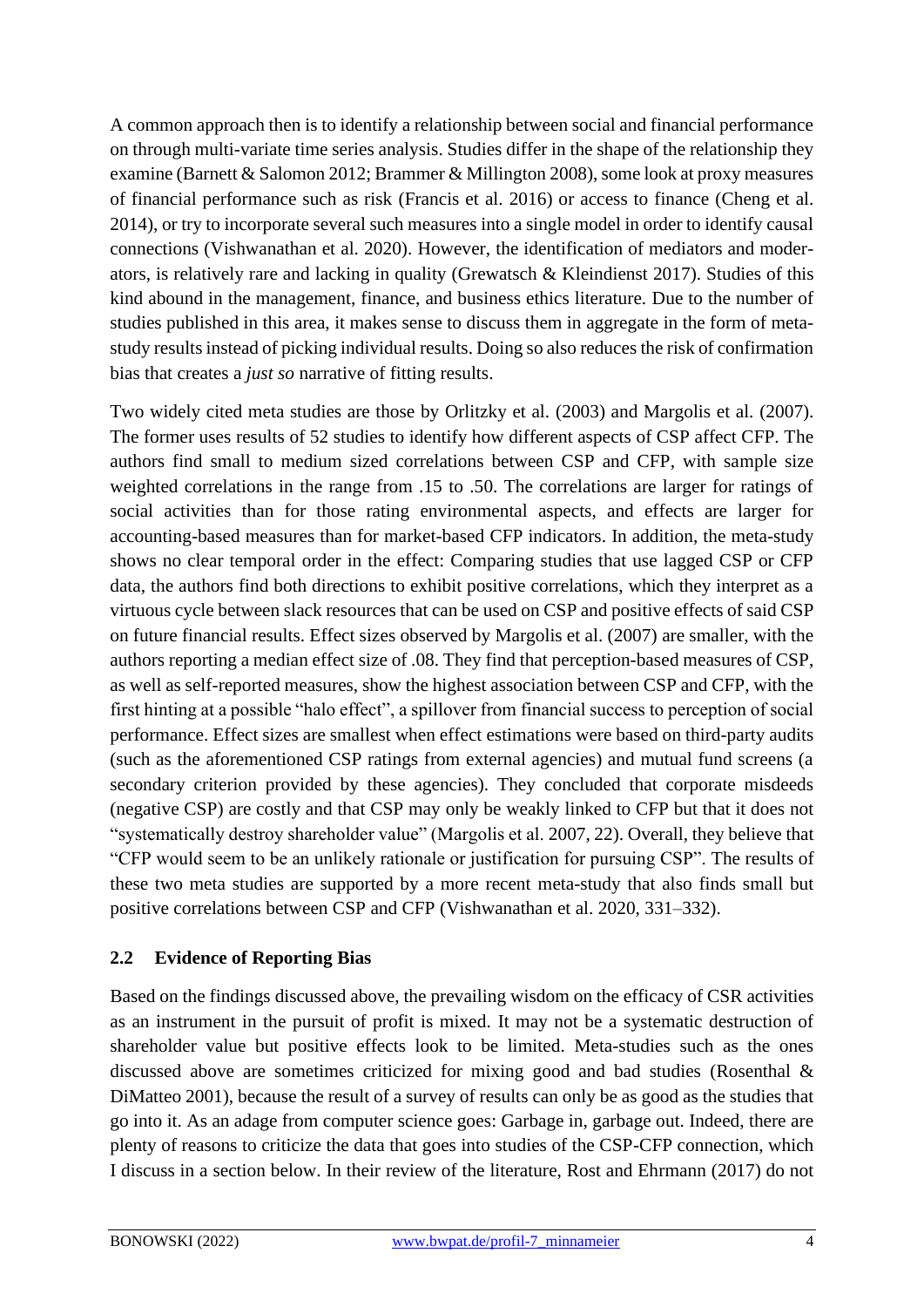A common approach then is to identify a relationship between social and financial performance on through multi-variate time series analysis. Studies differ in the shape of the relationship they examine (Barnett & Salomon 2012; Brammer & Millington 2008), some look at proxy measures of financial performance such as risk (Francis et al. 2016) or access to finance (Cheng et al. 2014), or try to incorporate several such measures into a single model in order to identify causal connections (Vishwanathan et al. 2020). However, the identification of mediators and moderators, is relatively rare and lacking in quality (Grewatsch & Kleindienst 2017). Studies of this kind abound in the management, finance, and business ethics literature. Due to the number of studies published in this area, it makes sense to discuss them in aggregate in the form of metastudy results instead of picking individual results. Doing so also reduces the risk of confirmation bias that creates a *just so* narrative of fitting results.

Two widely cited meta studies are those by Orlitzky et al. (2003) and Margolis et al. (2007). The former uses results of 52 studies to identify how different aspects of CSP affect CFP. The authors find small to medium sized correlations between CSP and CFP, with sample size weighted correlations in the range from .15 to .50. The correlations are larger for ratings of social activities than for those rating environmental aspects, and effects are larger for accounting-based measures than for market-based CFP indicators. In addition, the meta-study shows no clear temporal order in the effect: Comparing studies that use lagged CSP or CFP data, the authors find both directions to exhibit positive correlations, which they interpret as a virtuous cycle between slack resources that can be used on CSP and positive effects of said CSP on future financial results. Effect sizes observed by Margolis et al. (2007) are smaller, with the authors reporting a median effect size of .08. They find that perception-based measures of CSP, as well as self-reported measures, show the highest association between CSP and CFP, with the first hinting at a possible "halo effect", a spillover from financial success to perception of social performance. Effect sizes are smallest when effect estimations were based on third-party audits (such as the aforementioned CSP ratings from external agencies) and mutual fund screens (a secondary criterion provided by these agencies). They concluded that corporate misdeeds (negative CSP) are costly and that CSP may only be weakly linked to CFP but that it does not "systematically destroy shareholder value" (Margolis et al. 2007, 22). Overall, they believe that "CFP would seem to be an unlikely rationale or justification for pursuing CSP". The results of these two meta studies are supported by a more recent meta-study that also finds small but positive correlations between CSP and CFP (Vishwanathan et al. 2020, 331–332).

#### **2.2 Evidence of Reporting Bias**

Based on the findings discussed above, the prevailing wisdom on the efficacy of CSR activities as an instrument in the pursuit of profit is mixed. It may not be a systematic destruction of shareholder value but positive effects look to be limited. Meta-studies such as the ones discussed above are sometimes criticized for mixing good and bad studies (Rosenthal & DiMatteo 2001), because the result of a survey of results can only be as good as the studies that go into it. As an adage from computer science goes: Garbage in, garbage out. Indeed, there are plenty of reasons to criticize the data that goes into studies of the CSP-CFP connection, which I discuss in a section below. In their review of the literature, Rost and Ehrmann (2017) do not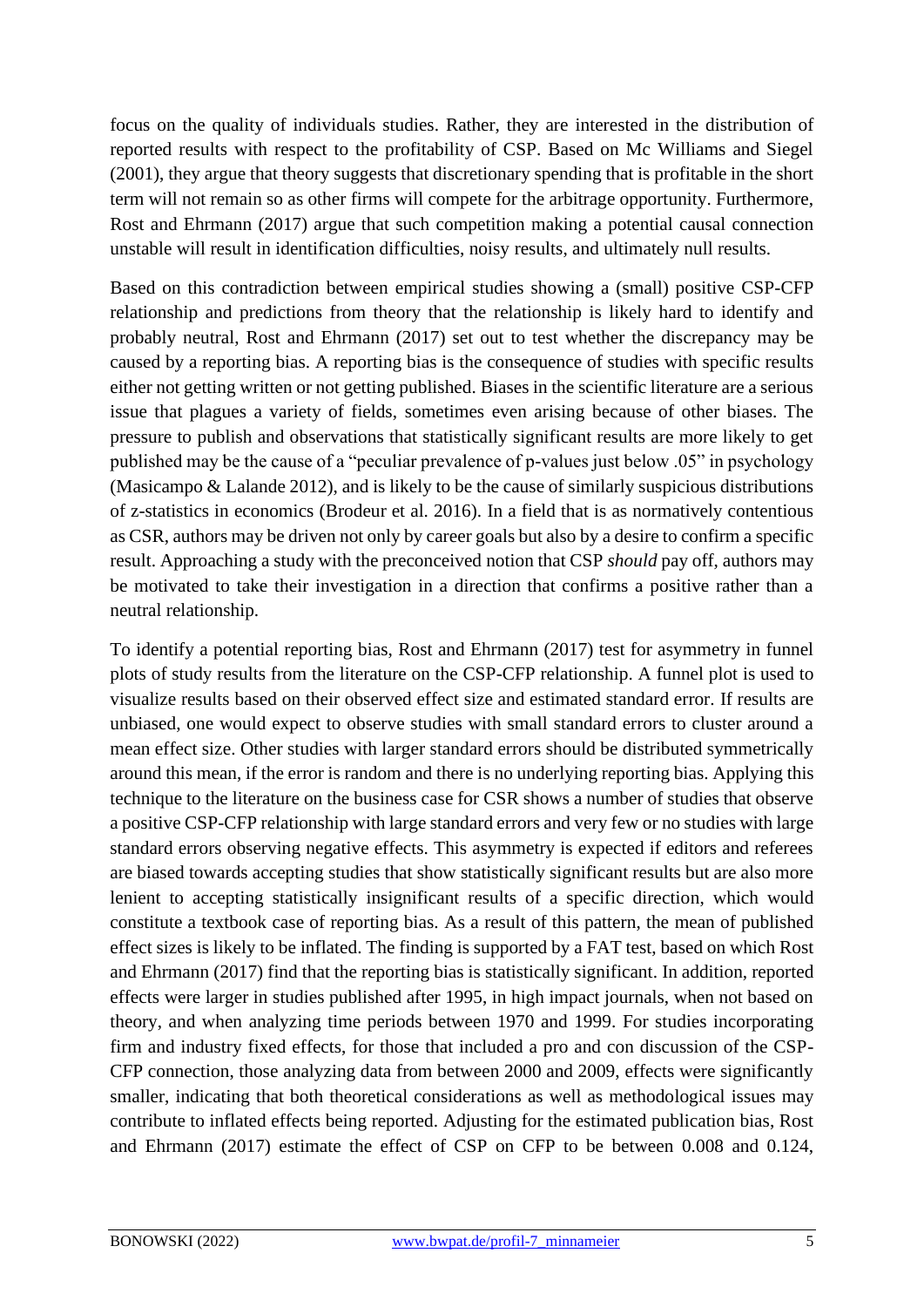focus on the quality of individuals studies. Rather, they are interested in the distribution of reported results with respect to the profitability of CSP. Based on Mc Williams and Siegel (2001), they argue that theory suggests that discretionary spending that is profitable in the short term will not remain so as other firms will compete for the arbitrage opportunity. Furthermore, Rost and Ehrmann (2017) argue that such competition making a potential causal connection unstable will result in identification difficulties, noisy results, and ultimately null results.

Based on this contradiction between empirical studies showing a (small) positive CSP-CFP relationship and predictions from theory that the relationship is likely hard to identify and probably neutral, Rost and Ehrmann (2017) set out to test whether the discrepancy may be caused by a reporting bias. A reporting bias is the consequence of studies with specific results either not getting written or not getting published. Biases in the scientific literature are a serious issue that plagues a variety of fields, sometimes even arising because of other biases. The pressure to publish and observations that statistically significant results are more likely to get published may be the cause of a "peculiar prevalence of p-values just below .05" in psychology (Masicampo & Lalande 2012), and is likely to be the cause of similarly suspicious distributions of z-statistics in economics (Brodeur et al. 2016). In a field that is as normatively contentious as CSR, authors may be driven not only by career goals but also by a desire to confirm a specific result. Approaching a study with the preconceived notion that CSP *should* pay off, authors may be motivated to take their investigation in a direction that confirms a positive rather than a neutral relationship.

To identify a potential reporting bias, Rost and Ehrmann (2017) test for asymmetry in funnel plots of study results from the literature on the CSP-CFP relationship. A funnel plot is used to visualize results based on their observed effect size and estimated standard error. If results are unbiased, one would expect to observe studies with small standard errors to cluster around a mean effect size. Other studies with larger standard errors should be distributed symmetrically around this mean, if the error is random and there is no underlying reporting bias. Applying this technique to the literature on the business case for CSR shows a number of studies that observe a positive CSP-CFP relationship with large standard errors and very few or no studies with large standard errors observing negative effects. This asymmetry is expected if editors and referees are biased towards accepting studies that show statistically significant results but are also more lenient to accepting statistically insignificant results of a specific direction, which would constitute a textbook case of reporting bias. As a result of this pattern, the mean of published effect sizes is likely to be inflated. The finding is supported by a FAT test, based on which Rost and Ehrmann (2017) find that the reporting bias is statistically significant. In addition, reported effects were larger in studies published after 1995, in high impact journals, when not based on theory, and when analyzing time periods between 1970 and 1999. For studies incorporating firm and industry fixed effects, for those that included a pro and con discussion of the CSP-CFP connection, those analyzing data from between 2000 and 2009, effects were significantly smaller, indicating that both theoretical considerations as well as methodological issues may contribute to inflated effects being reported. Adjusting for the estimated publication bias, Rost and Ehrmann (2017) estimate the effect of CSP on CFP to be between 0.008 and 0.124,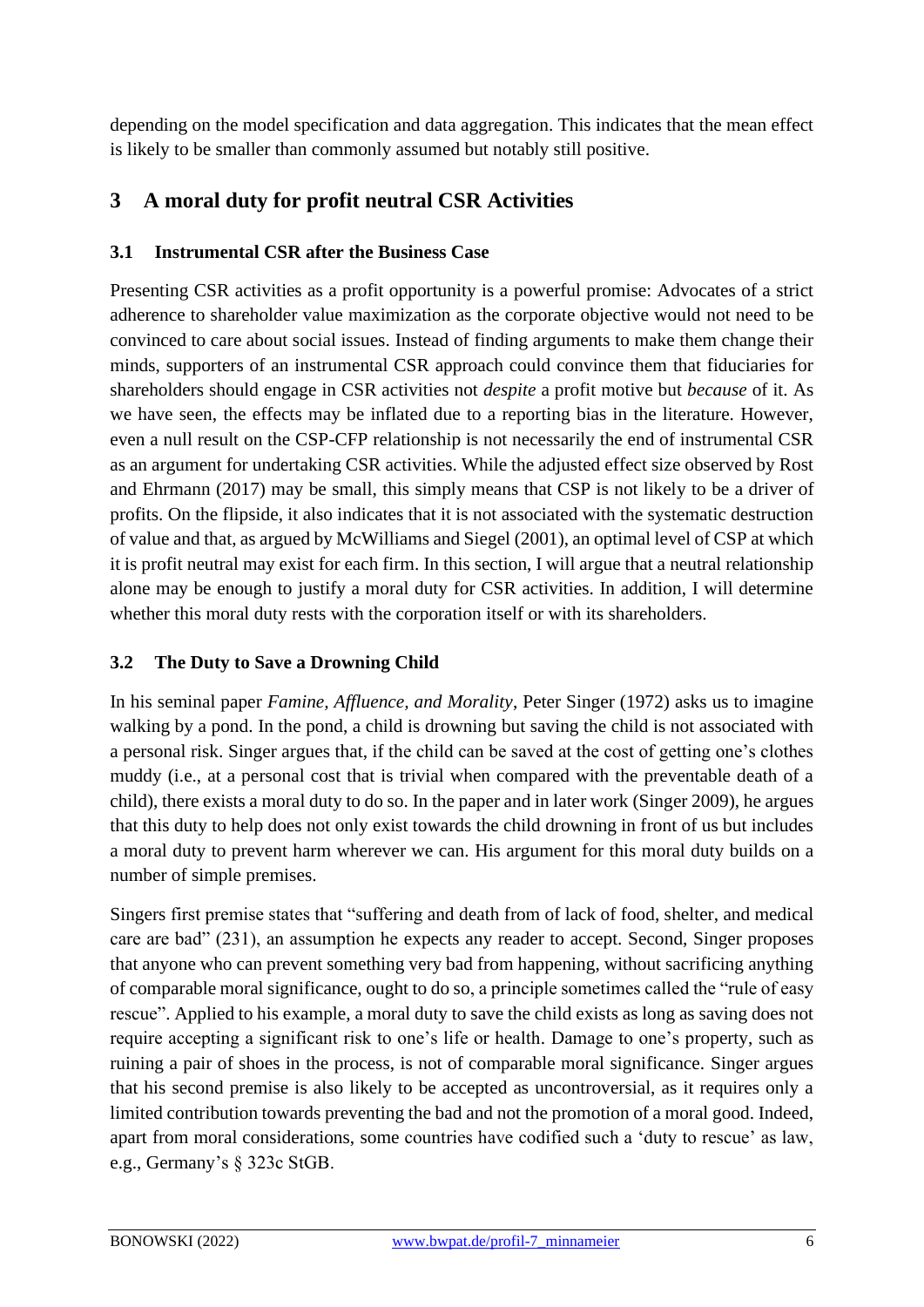depending on the model specification and data aggregation. This indicates that the mean effect is likely to be smaller than commonly assumed but notably still positive.

## **3 A moral duty for profit neutral CSR Activities**

#### **3.1 Instrumental CSR after the Business Case**

Presenting CSR activities as a profit opportunity is a powerful promise: Advocates of a strict adherence to shareholder value maximization as the corporate objective would not need to be convinced to care about social issues. Instead of finding arguments to make them change their minds, supporters of an instrumental CSR approach could convince them that fiduciaries for shareholders should engage in CSR activities not *despite* a profit motive but *because* of it. As we have seen, the effects may be inflated due to a reporting bias in the literature. However, even a null result on the CSP-CFP relationship is not necessarily the end of instrumental CSR as an argument for undertaking CSR activities. While the adjusted effect size observed by Rost and Ehrmann (2017) may be small, this simply means that CSP is not likely to be a driver of profits. On the flipside, it also indicates that it is not associated with the systematic destruction of value and that, as argued by McWilliams and Siegel (2001), an optimal level of CSP at which it is profit neutral may exist for each firm. In this section, I will argue that a neutral relationship alone may be enough to justify a moral duty for CSR activities. In addition, I will determine whether this moral duty rests with the corporation itself or with its shareholders.

#### **3.2 The Duty to Save a Drowning Child**

In his seminal paper *Famine, Affluence, and Morality*, Peter Singer (1972) asks us to imagine walking by a pond. In the pond, a child is drowning but saving the child is not associated with a personal risk. Singer argues that, if the child can be saved at the cost of getting one's clothes muddy (i.e., at a personal cost that is trivial when compared with the preventable death of a child), there exists a moral duty to do so. In the paper and in later work (Singer 2009), he argues that this duty to help does not only exist towards the child drowning in front of us but includes a moral duty to prevent harm wherever we can. His argument for this moral duty builds on a number of simple premises.

Singers first premise states that "suffering and death from of lack of food, shelter, and medical care are bad" (231), an assumption he expects any reader to accept. Second, Singer proposes that anyone who can prevent something very bad from happening, without sacrificing anything of comparable moral significance, ought to do so, a principle sometimes called the "rule of easy rescue". Applied to his example, a moral duty to save the child exists as long as saving does not require accepting a significant risk to one's life or health. Damage to one's property, such as ruining a pair of shoes in the process, is not of comparable moral significance. Singer argues that his second premise is also likely to be accepted as uncontroversial, as it requires only a limited contribution towards preventing the bad and not the promotion of a moral good. Indeed, apart from moral considerations, some countries have codified such a 'duty to rescue' as law, e.g., Germany's § 323c StGB.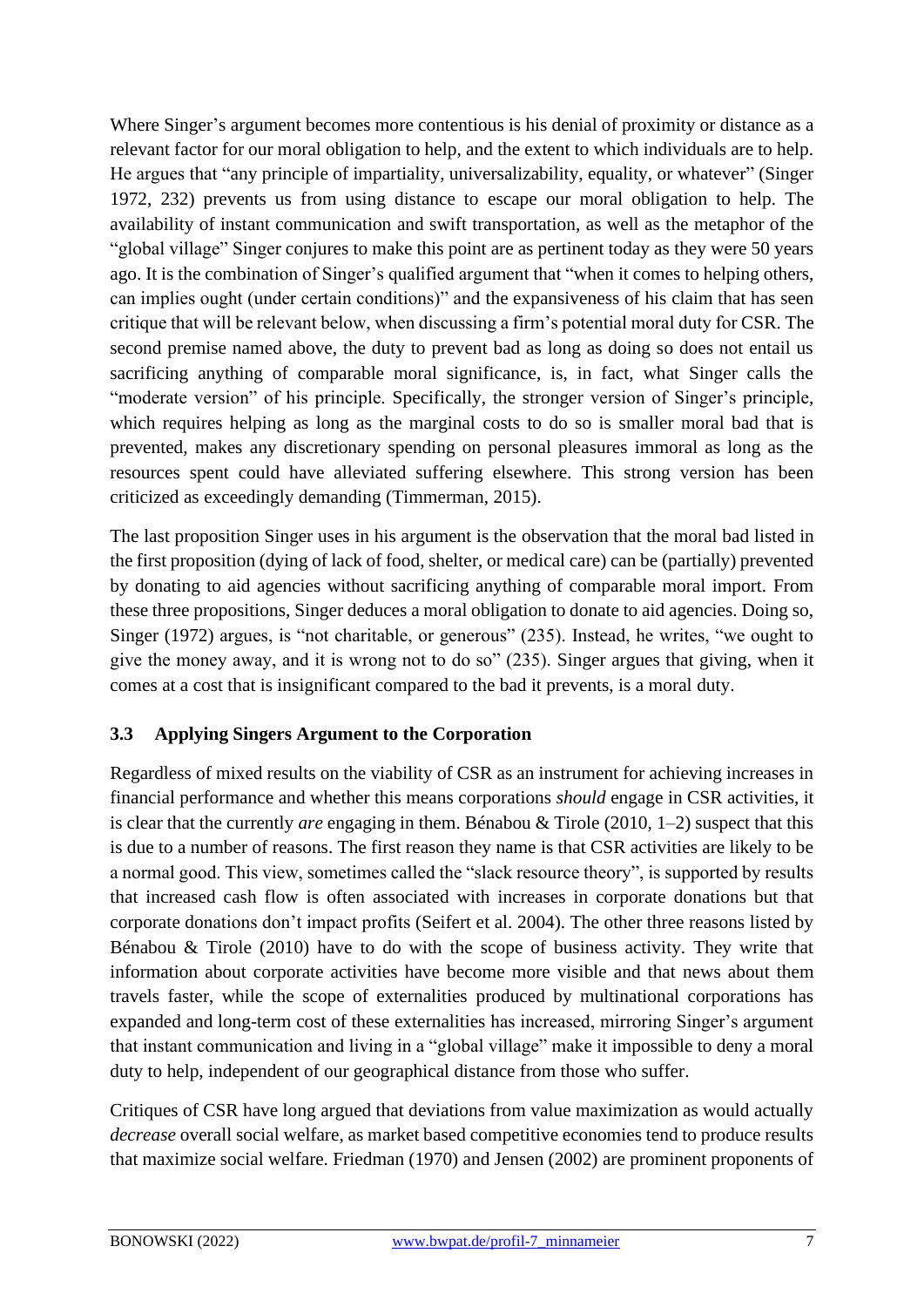Where Singer's argument becomes more contentious is his denial of proximity or distance as a relevant factor for our moral obligation to help, and the extent to which individuals are to help. He argues that "any principle of impartiality, universalizability, equality, or whatever" (Singer 1972, 232) prevents us from using distance to escape our moral obligation to help. The availability of instant communication and swift transportation, as well as the metaphor of the "global village" Singer conjures to make this point are as pertinent today as they were 50 years ago. It is the combination of Singer's qualified argument that "when it comes to helping others, can implies ought (under certain conditions)" and the expansiveness of his claim that has seen critique that will be relevant below, when discussing a firm's potential moral duty for CSR. The second premise named above, the duty to prevent bad as long as doing so does not entail us sacrificing anything of comparable moral significance, is, in fact, what Singer calls the "moderate version" of his principle. Specifically, the stronger version of Singer's principle, which requires helping as long as the marginal costs to do so is smaller moral bad that is prevented, makes any discretionary spending on personal pleasures immoral as long as the resources spent could have alleviated suffering elsewhere. This strong version has been criticized as exceedingly demanding (Timmerman, 2015).

The last proposition Singer uses in his argument is the observation that the moral bad listed in the first proposition (dying of lack of food, shelter, or medical care) can be (partially) prevented by donating to aid agencies without sacrificing anything of comparable moral import. From these three propositions, Singer deduces a moral obligation to donate to aid agencies. Doing so, Singer (1972) argues, is "not charitable, or generous" (235). Instead, he writes, "we ought to give the money away, and it is wrong not to do so" (235). Singer argues that giving, when it comes at a cost that is insignificant compared to the bad it prevents, is a moral duty.

#### **3.3 Applying Singers Argument to the Corporation**

Regardless of mixed results on the viability of CSR as an instrument for achieving increases in financial performance and whether this means corporations *should* engage in CSR activities, it is clear that the currently *are* engaging in them. Bénabou & Tirole (2010, 1–2) suspect that this is due to a number of reasons. The first reason they name is that CSR activities are likely to be a normal good. This view, sometimes called the "slack resource theory", is supported by results that increased cash flow is often associated with increases in corporate donations but that corporate donations don't impact profits (Seifert et al. 2004). The other three reasons listed by Bénabou & Tirole (2010) have to do with the scope of business activity. They write that information about corporate activities have become more visible and that news about them travels faster, while the scope of externalities produced by multinational corporations has expanded and long-term cost of these externalities has increased, mirroring Singer's argument that instant communication and living in a "global village" make it impossible to deny a moral duty to help, independent of our geographical distance from those who suffer.

Critiques of CSR have long argued that deviations from value maximization as would actually *decrease* overall social welfare, as market based competitive economies tend to produce results that maximize social welfare. Friedman (1970) and Jensen (2002) are prominent proponents of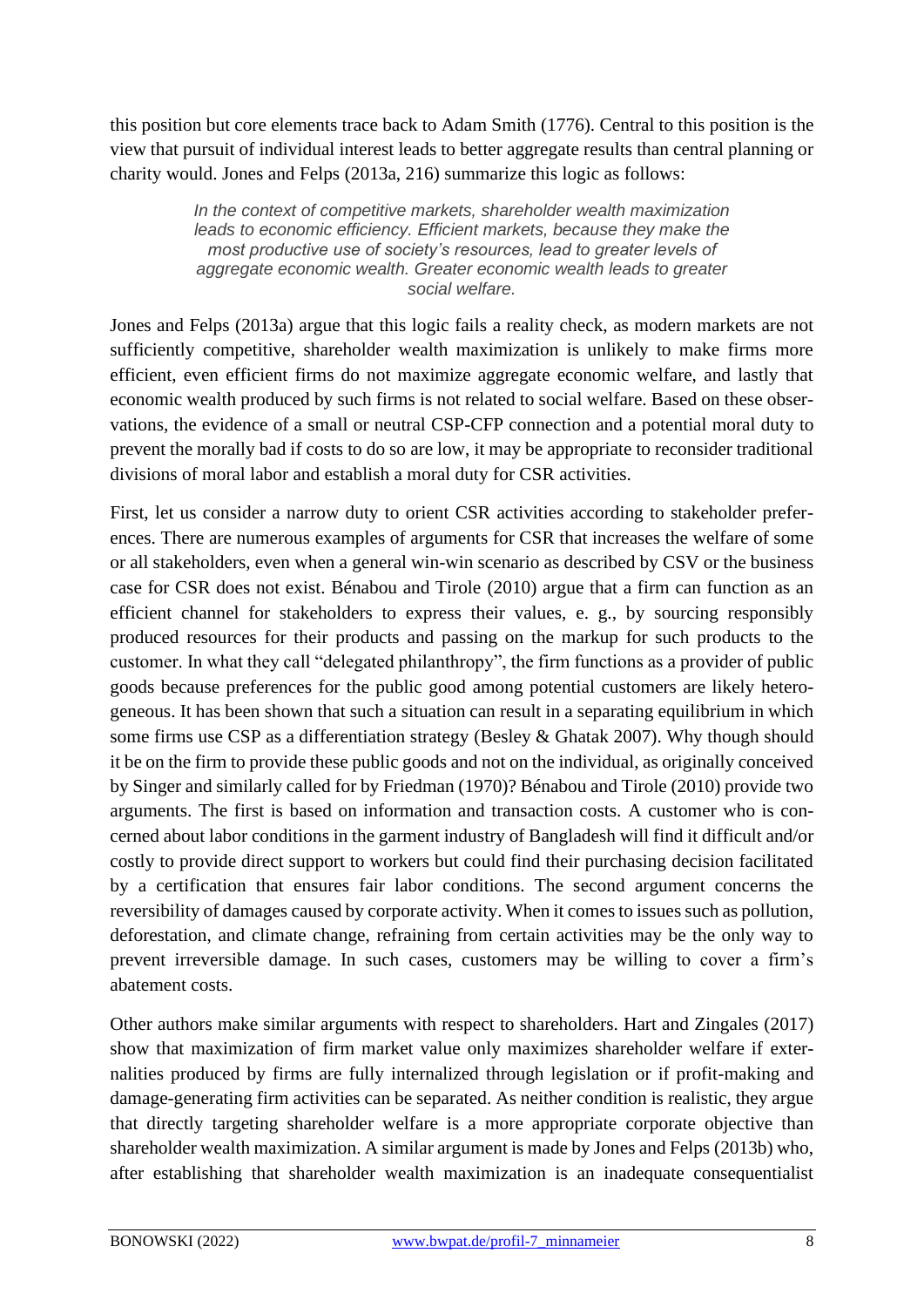this position but core elements trace back to Adam Smith (1776). Central to this position is the view that pursuit of individual interest leads to better aggregate results than central planning or charity would. Jones and Felps (2013a, 216) summarize this logic as follows:

> *In the context of competitive markets, shareholder wealth maximization leads to economic efficiency. Efficient markets, because they make the most productive use of society's resources, lead to greater levels of aggregate economic wealth. Greater economic wealth leads to greater social welfare.*

Jones and Felps (2013a) argue that this logic fails a reality check, as modern markets are not sufficiently competitive, shareholder wealth maximization is unlikely to make firms more efficient, even efficient firms do not maximize aggregate economic welfare, and lastly that economic wealth produced by such firms is not related to social welfare. Based on these observations, the evidence of a small or neutral CSP-CFP connection and a potential moral duty to prevent the morally bad if costs to do so are low, it may be appropriate to reconsider traditional divisions of moral labor and establish a moral duty for CSR activities.

First, let us consider a narrow duty to orient CSR activities according to stakeholder preferences. There are numerous examples of arguments for CSR that increases the welfare of some or all stakeholders, even when a general win-win scenario as described by CSV or the business case for CSR does not exist. Bénabou and Tirole (2010) argue that a firm can function as an efficient channel for stakeholders to express their values, e. g., by sourcing responsibly produced resources for their products and passing on the markup for such products to the customer. In what they call "delegated philanthropy", the firm functions as a provider of public goods because preferences for the public good among potential customers are likely heterogeneous. It has been shown that such a situation can result in a separating equilibrium in which some firms use CSP as a differentiation strategy (Besley & Ghatak 2007). Why though should it be on the firm to provide these public goods and not on the individual, as originally conceived by Singer and similarly called for by Friedman (1970)? Bénabou and Tirole (2010) provide two arguments. The first is based on information and transaction costs. A customer who is concerned about labor conditions in the garment industry of Bangladesh will find it difficult and/or costly to provide direct support to workers but could find their purchasing decision facilitated by a certification that ensures fair labor conditions. The second argument concerns the reversibility of damages caused by corporate activity. When it comes to issues such as pollution, deforestation, and climate change, refraining from certain activities may be the only way to prevent irreversible damage. In such cases, customers may be willing to cover a firm's abatement costs.

Other authors make similar arguments with respect to shareholders. Hart and Zingales (2017) show that maximization of firm market value only maximizes shareholder welfare if externalities produced by firms are fully internalized through legislation or if profit-making and damage-generating firm activities can be separated. As neither condition is realistic, they argue that directly targeting shareholder welfare is a more appropriate corporate objective than shareholder wealth maximization. A similar argument is made by Jones and Felps (2013b) who, after establishing that shareholder wealth maximization is an inadequate consequentialist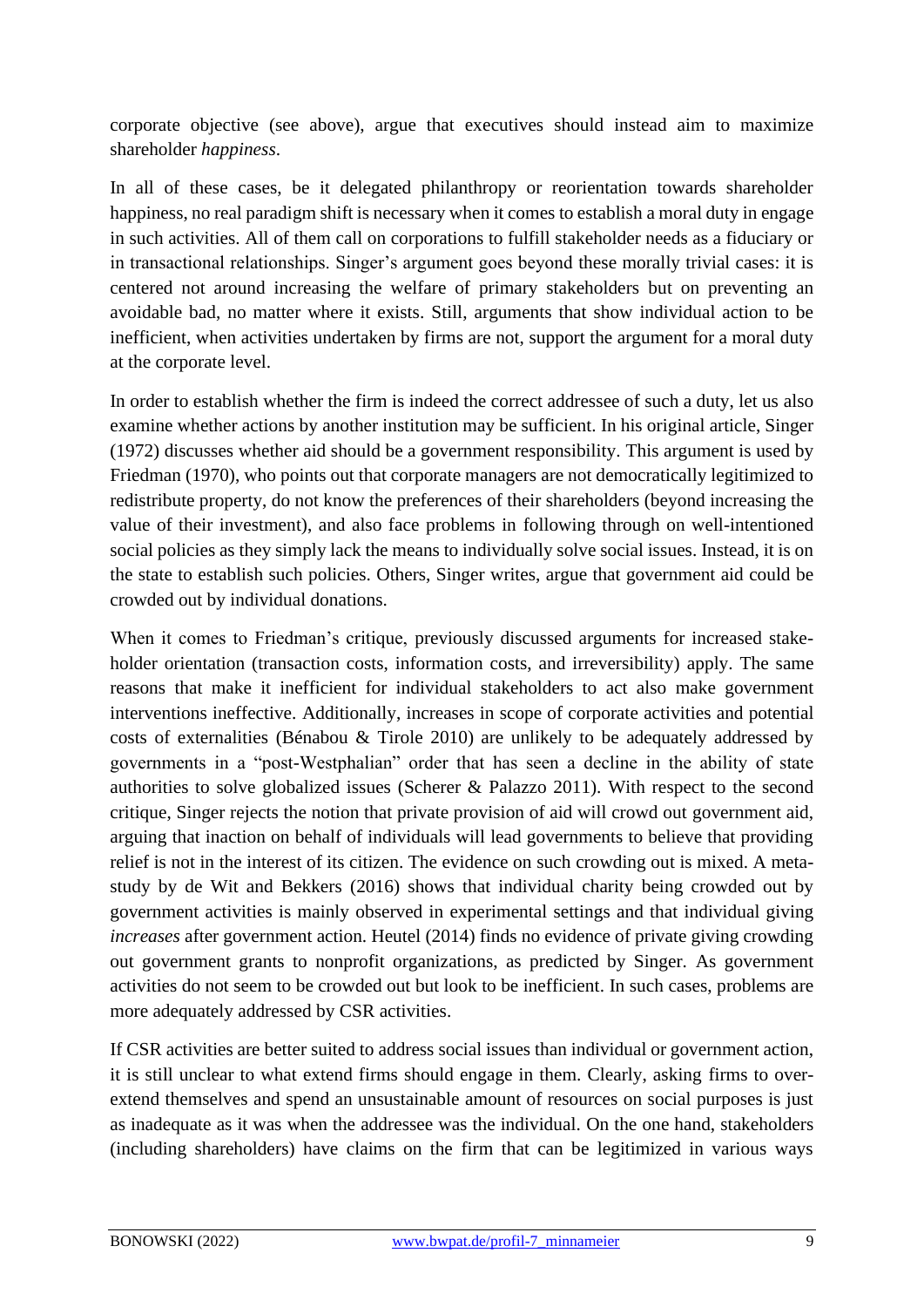corporate objective (see above), argue that executives should instead aim to maximize shareholder *happiness*.

In all of these cases, be it delegated philanthropy or reorientation towards shareholder happiness, no real paradigm shift is necessary when it comes to establish a moral duty in engage in such activities. All of them call on corporations to fulfill stakeholder needs as a fiduciary or in transactional relationships. Singer's argument goes beyond these morally trivial cases: it is centered not around increasing the welfare of primary stakeholders but on preventing an avoidable bad, no matter where it exists. Still, arguments that show individual action to be inefficient, when activities undertaken by firms are not, support the argument for a moral duty at the corporate level.

In order to establish whether the firm is indeed the correct addressee of such a duty, let us also examine whether actions by another institution may be sufficient. In his original article, Singer (1972) discusses whether aid should be a government responsibility. This argument is used by Friedman (1970), who points out that corporate managers are not democratically legitimized to redistribute property, do not know the preferences of their shareholders (beyond increasing the value of their investment), and also face problems in following through on well-intentioned social policies as they simply lack the means to individually solve social issues. Instead, it is on the state to establish such policies. Others, Singer writes, argue that government aid could be crowded out by individual donations.

When it comes to Friedman's critique, previously discussed arguments for increased stakeholder orientation (transaction costs, information costs, and irreversibility) apply. The same reasons that make it inefficient for individual stakeholders to act also make government interventions ineffective. Additionally, increases in scope of corporate activities and potential costs of externalities (Bénabou & Tirole 2010) are unlikely to be adequately addressed by governments in a "post-Westphalian" order that has seen a decline in the ability of state authorities to solve globalized issues (Scherer & Palazzo 2011). With respect to the second critique, Singer rejects the notion that private provision of aid will crowd out government aid, arguing that inaction on behalf of individuals will lead governments to believe that providing relief is not in the interest of its citizen. The evidence on such crowding out is mixed. A metastudy by de Wit and Bekkers (2016) shows that individual charity being crowded out by government activities is mainly observed in experimental settings and that individual giving *increases* after government action. Heutel (2014) finds no evidence of private giving crowding out government grants to nonprofit organizations, as predicted by Singer. As government activities do not seem to be crowded out but look to be inefficient. In such cases, problems are more adequately addressed by CSR activities.

If CSR activities are better suited to address social issues than individual or government action, it is still unclear to what extend firms should engage in them. Clearly, asking firms to overextend themselves and spend an unsustainable amount of resources on social purposes is just as inadequate as it was when the addressee was the individual. On the one hand, stakeholders (including shareholders) have claims on the firm that can be legitimized in various ways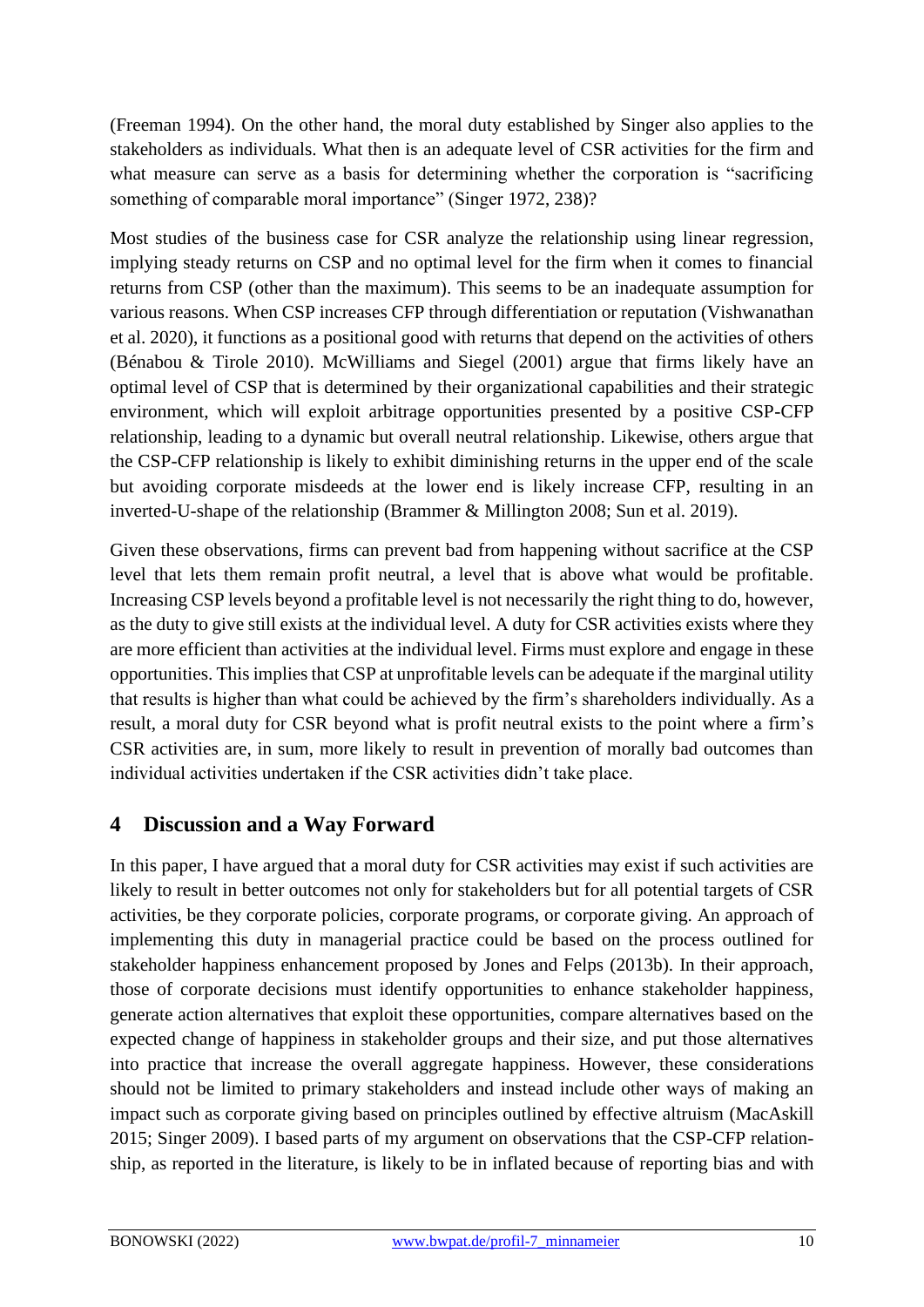(Freeman 1994). On the other hand, the moral duty established by Singer also applies to the stakeholders as individuals. What then is an adequate level of CSR activities for the firm and what measure can serve as a basis for determining whether the corporation is "sacrificing something of comparable moral importance" (Singer 1972, 238)?

Most studies of the business case for CSR analyze the relationship using linear regression, implying steady returns on CSP and no optimal level for the firm when it comes to financial returns from CSP (other than the maximum). This seems to be an inadequate assumption for various reasons. When CSP increases CFP through differentiation or reputation (Vishwanathan et al. 2020), it functions as a positional good with returns that depend on the activities of others (Bénabou & Tirole 2010). McWilliams and Siegel (2001) argue that firms likely have an optimal level of CSP that is determined by their organizational capabilities and their strategic environment, which will exploit arbitrage opportunities presented by a positive CSP-CFP relationship, leading to a dynamic but overall neutral relationship. Likewise, others argue that the CSP-CFP relationship is likely to exhibit diminishing returns in the upper end of the scale but avoiding corporate misdeeds at the lower end is likely increase CFP, resulting in an inverted-U-shape of the relationship (Brammer & Millington 2008; Sun et al. 2019).

Given these observations, firms can prevent bad from happening without sacrifice at the CSP level that lets them remain profit neutral, a level that is above what would be profitable. Increasing CSP levels beyond a profitable level is not necessarily the right thing to do, however, as the duty to give still exists at the individual level. A duty for CSR activities exists where they are more efficient than activities at the individual level. Firms must explore and engage in these opportunities. This implies that CSP at unprofitable levels can be adequate if the marginal utility that results is higher than what could be achieved by the firm's shareholders individually. As a result, a moral duty for CSR beyond what is profit neutral exists to the point where a firm's CSR activities are, in sum, more likely to result in prevention of morally bad outcomes than individual activities undertaken if the CSR activities didn't take place.

## **4 Discussion and a Way Forward**

In this paper, I have argued that a moral duty for CSR activities may exist if such activities are likely to result in better outcomes not only for stakeholders but for all potential targets of CSR activities, be they corporate policies, corporate programs, or corporate giving. An approach of implementing this duty in managerial practice could be based on the process outlined for stakeholder happiness enhancement proposed by Jones and Felps (2013b). In their approach, those of corporate decisions must identify opportunities to enhance stakeholder happiness, generate action alternatives that exploit these opportunities, compare alternatives based on the expected change of happiness in stakeholder groups and their size, and put those alternatives into practice that increase the overall aggregate happiness. However, these considerations should not be limited to primary stakeholders and instead include other ways of making an impact such as corporate giving based on principles outlined by effective altruism (MacAskill 2015; Singer 2009). I based parts of my argument on observations that the CSP-CFP relationship, as reported in the literature, is likely to be in inflated because of reporting bias and with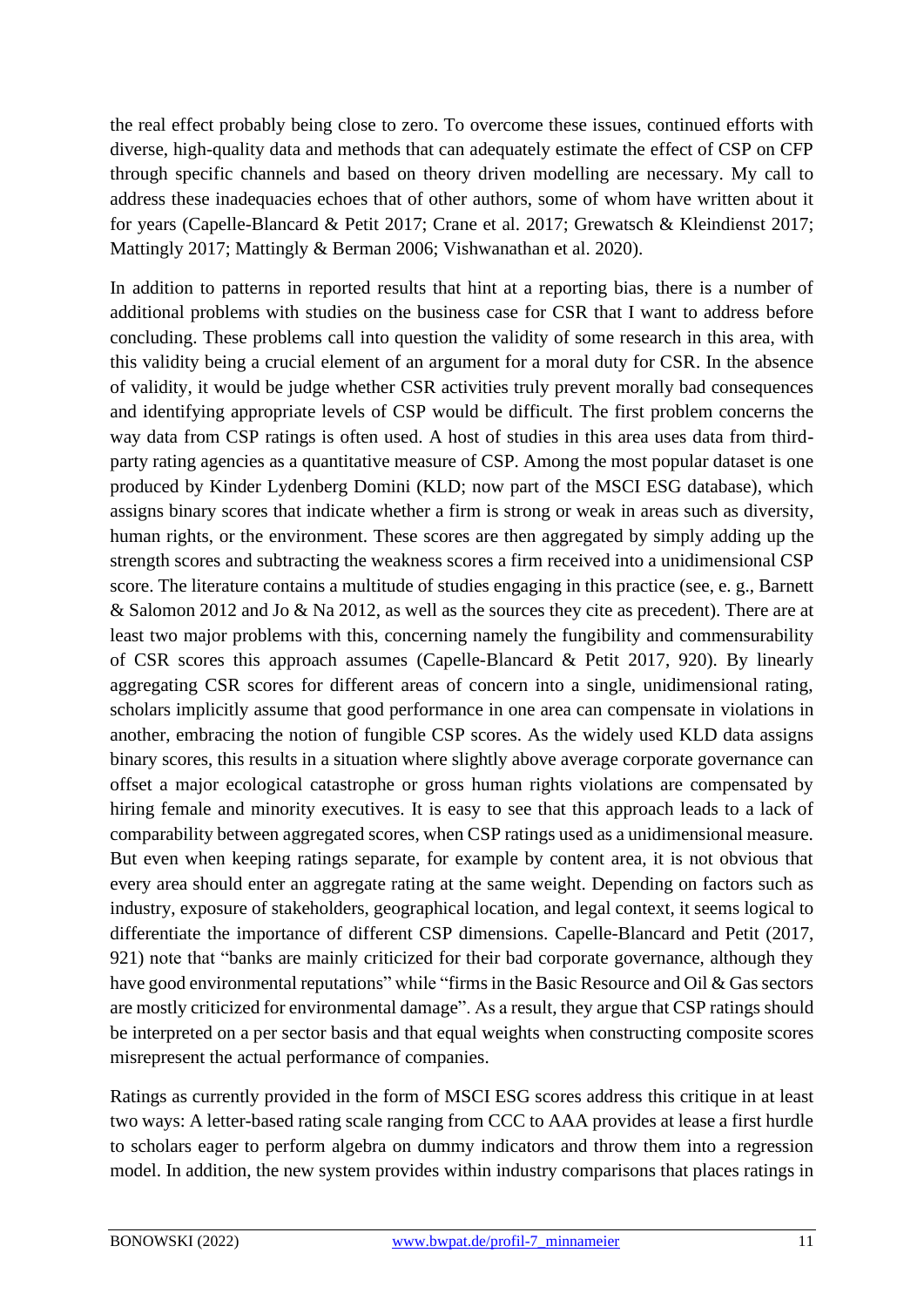the real effect probably being close to zero. To overcome these issues, continued efforts with diverse, high-quality data and methods that can adequately estimate the effect of CSP on CFP through specific channels and based on theory driven modelling are necessary. My call to address these inadequacies echoes that of other authors, some of whom have written about it for years (Capelle-Blancard & Petit 2017; Crane et al. 2017; Grewatsch & Kleindienst 2017; Mattingly 2017; Mattingly & Berman 2006; Vishwanathan et al. 2020).

In addition to patterns in reported results that hint at a reporting bias, there is a number of additional problems with studies on the business case for CSR that I want to address before concluding. These problems call into question the validity of some research in this area, with this validity being a crucial element of an argument for a moral duty for CSR. In the absence of validity, it would be judge whether CSR activities truly prevent morally bad consequences and identifying appropriate levels of CSP would be difficult. The first problem concerns the way data from CSP ratings is often used. A host of studies in this area uses data from thirdparty rating agencies as a quantitative measure of CSP. Among the most popular dataset is one produced by Kinder Lydenberg Domini (KLD; now part of the MSCI ESG database), which assigns binary scores that indicate whether a firm is strong or weak in areas such as diversity, human rights, or the environment. These scores are then aggregated by simply adding up the strength scores and subtracting the weakness scores a firm received into a unidimensional CSP score. The literature contains a multitude of studies engaging in this practice (see, e. g., Barnett & Salomon 2012 and Jo & Na 2012, as well as the sources they cite as precedent). There are at least two major problems with this, concerning namely the fungibility and commensurability of CSR scores this approach assumes (Capelle-Blancard & Petit 2017, 920). By linearly aggregating CSR scores for different areas of concern into a single, unidimensional rating, scholars implicitly assume that good performance in one area can compensate in violations in another, embracing the notion of fungible CSP scores. As the widely used KLD data assigns binary scores, this results in a situation where slightly above average corporate governance can offset a major ecological catastrophe or gross human rights violations are compensated by hiring female and minority executives. It is easy to see that this approach leads to a lack of comparability between aggregated scores, when CSP ratings used as a unidimensional measure. But even when keeping ratings separate, for example by content area, it is not obvious that every area should enter an aggregate rating at the same weight. Depending on factors such as industry, exposure of stakeholders, geographical location, and legal context, it seems logical to differentiate the importance of different CSP dimensions. Capelle-Blancard and Petit (2017, 921) note that "banks are mainly criticized for their bad corporate governance, although they have good environmental reputations" while "firms in the Basic Resource and Oil & Gas sectors" are mostly criticized for environmental damage". As a result, they argue that CSP ratings should be interpreted on a per sector basis and that equal weights when constructing composite scores misrepresent the actual performance of companies.

Ratings as currently provided in the form of MSCI ESG scores address this critique in at least two ways: A letter-based rating scale ranging from CCC to AAA provides at lease a first hurdle to scholars eager to perform algebra on dummy indicators and throw them into a regression model. In addition, the new system provides within industry comparisons that places ratings in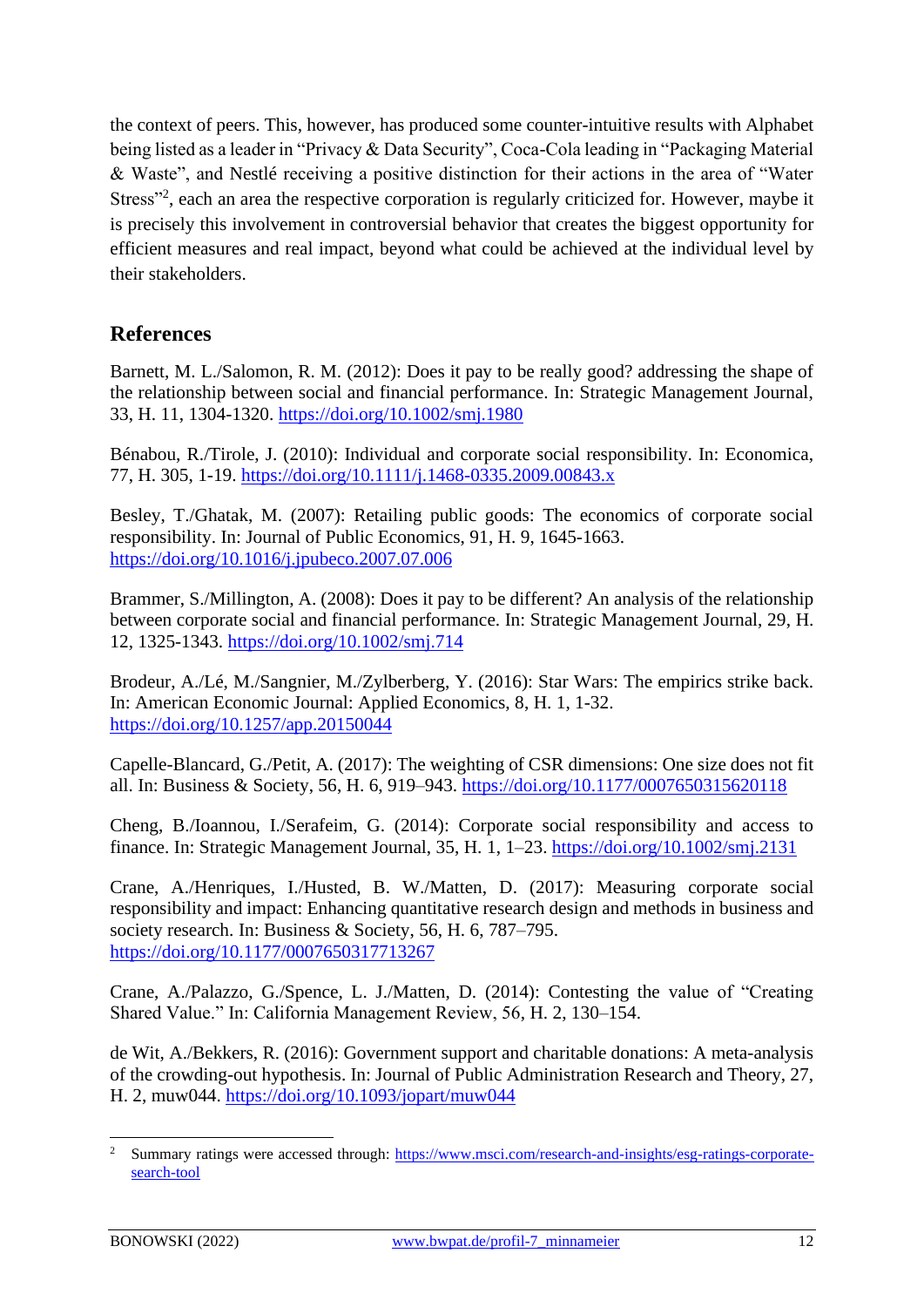the context of peers. This, however, has produced some counter-intuitive results with Alphabet being listed as a leader in "Privacy & Data Security", Coca-Cola leading in "Packaging Material & Waste", and Nestlé receiving a positive distinction for their actions in the area of "Water Stress"<sup>2</sup>, each an area the respective corporation is regularly criticized for. However, maybe it is precisely this involvement in controversial behavior that creates the biggest opportunity for efficient measures and real impact, beyond what could be achieved at the individual level by their stakeholders.

# **References**

Barnett, M. L./Salomon, R. M. (2012): Does it pay to be really good? addressing the shape of the relationship between social and financial performance. In: Strategic Management Journal, 33, H. 11, 1304-1320.<https://doi.org/10.1002/smj.1980>

Bénabou, R./Tirole, J. (2010): Individual and corporate social responsibility. In: Economica, 77, H. 305, 1-19.<https://doi.org/10.1111/j.1468-0335.2009.00843.x>

Besley, T./Ghatak, M. (2007): Retailing public goods: The economics of corporate social responsibility. In: Journal of Public Economics, 91, H. 9, 1645-1663. <https://doi.org/10.1016/j.jpubeco.2007.07.006>

Brammer, S./Millington, A. (2008): Does it pay to be different? An analysis of the relationship between corporate social and financial performance. In: Strategic Management Journal, 29, H. 12, 1325-1343.<https://doi.org/10.1002/smj.714>

Brodeur, A./Lé, M./Sangnier, M./Zylberberg, Y. (2016): Star Wars: The empirics strike back. In: American Economic Journal: Applied Economics, 8, H. 1, 1-32. <https://doi.org/10.1257/app.20150044>

Capelle-Blancard, G./Petit, A. (2017): The weighting of CSR dimensions: One size does not fit all. In: Business & Society, 56, H. 6, 919–943.<https://doi.org/10.1177/0007650315620118>

Cheng, B./Ioannou, I./Serafeim, G. (2014): Corporate social responsibility and access to finance. In: Strategic Management Journal, 35, H. 1, 1–23.<https://doi.org/10.1002/smj.2131>

Crane, A./Henriques, I./Husted, B. W./Matten, D. (2017): Measuring corporate social responsibility and impact: Enhancing quantitative research design and methods in business and society research. In: Business & Society, 56, H. 6, 787–795. <https://doi.org/10.1177/0007650317713267>

Crane, A./Palazzo, G./Spence, L. J./Matten, D. (2014): Contesting the value of "Creating Shared Value." In: California Management Review, 56, H. 2, 130–154.

de Wit, A./Bekkers, R. (2016): Government support and charitable donations: A meta-analysis of the crowding-out hypothesis. In: Journal of Public Administration Research and Theory, 27, H. 2, muw044.<https://doi.org/10.1093/jopart/muw044>

<sup>2</sup> Summary ratings were accessed through: [https://www.msci.com/research-and-insights/esg-ratings-corporate](https://www.msci.com/research-and-insights/esg-ratings-corporate-search-tool)[search-tool](https://www.msci.com/research-and-insights/esg-ratings-corporate-search-tool)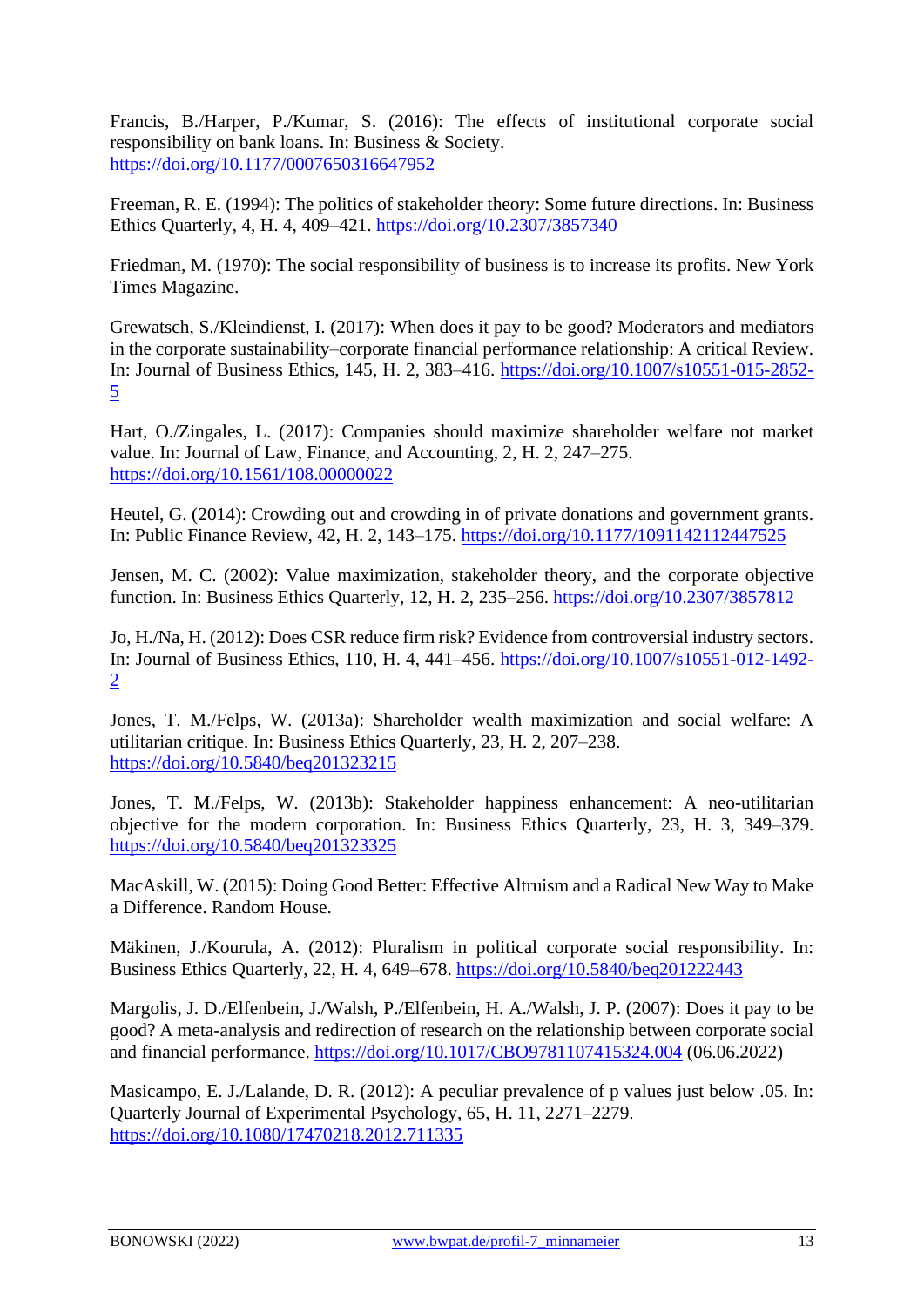Francis, B./Harper, P./Kumar, S. (2016): The effects of institutional corporate social responsibility on bank loans. In: Business & Society. <https://doi.org/10.1177/0007650316647952>

Freeman, R. E. (1994): The politics of stakeholder theory: Some future directions. In: Business Ethics Quarterly, 4, H. 4, 409–421.<https://doi.org/10.2307/3857340>

Friedman, M. (1970): The social responsibility of business is to increase its profits. New York Times Magazine.

Grewatsch, S./Kleindienst, I. (2017): When does it pay to be good? Moderators and mediators in the corporate sustainability–corporate financial performance relationship: A critical Review. In: Journal of Business Ethics, 145, H. 2, 383–416. [https://doi.org/10.1007/s10551-015-2852-](https://doi.org/10.1007/s10551-015-2852-5) [5](https://doi.org/10.1007/s10551-015-2852-5)

Hart, O./Zingales, L. (2017): Companies should maximize shareholder welfare not market value. In: Journal of Law, Finance, and Accounting, 2, H. 2, 247–275. <https://doi.org/10.1561/108.00000022>

Heutel, G. (2014): Crowding out and crowding in of private donations and government grants. In: Public Finance Review, 42, H. 2, 143–175.<https://doi.org/10.1177/1091142112447525>

Jensen, M. C. (2002): Value maximization, stakeholder theory, and the corporate objective function. In: Business Ethics Quarterly, 12, H. 2, 235–256.<https://doi.org/10.2307/3857812>

Jo, H./Na, H. (2012): Does CSR reduce firm risk? Evidence from controversial industry sectors. In: Journal of Business Ethics, 110, H. 4, 441–456. [https://doi.org/10.1007/s10551-012-1492-](https://doi.org/10.1007/s10551-012-1492-2) [2](https://doi.org/10.1007/s10551-012-1492-2)

Jones, T. M./Felps, W. (2013a): Shareholder wealth maximization and social welfare: A utilitarian critique. In: Business Ethics Quarterly, 23, H. 2, 207–238. <https://doi.org/10.5840/beq201323215>

Jones, T. M./Felps, W. (2013b): Stakeholder happiness enhancement: A neo-utilitarian objective for the modern corporation. In: Business Ethics Quarterly, 23, H. 3, 349–379. <https://doi.org/10.5840/beq201323325>

MacAskill, W. (2015): Doing Good Better: Effective Altruism and a Radical New Way to Make a Difference. Random House.

Mäkinen, J./Kourula, A. (2012): Pluralism in political corporate social responsibility. In: Business Ethics Quarterly, 22, H. 4, 649–678.<https://doi.org/10.5840/beq201222443>

Margolis, J. D./Elfenbein, J./Walsh, P./Elfenbein, H. A./Walsh, J. P. (2007): Does it pay to be good? A meta-analysis and redirection of research on the relationship between corporate social and financial performance.<https://doi.org/10.1017/CBO9781107415324.004> (06.06.2022)

Masicampo, E. J./Lalande, D. R. (2012): A peculiar prevalence of p values just below .05. In: Quarterly Journal of Experimental Psychology, 65, H. 11, 2271–2279. <https://doi.org/10.1080/17470218.2012.711335>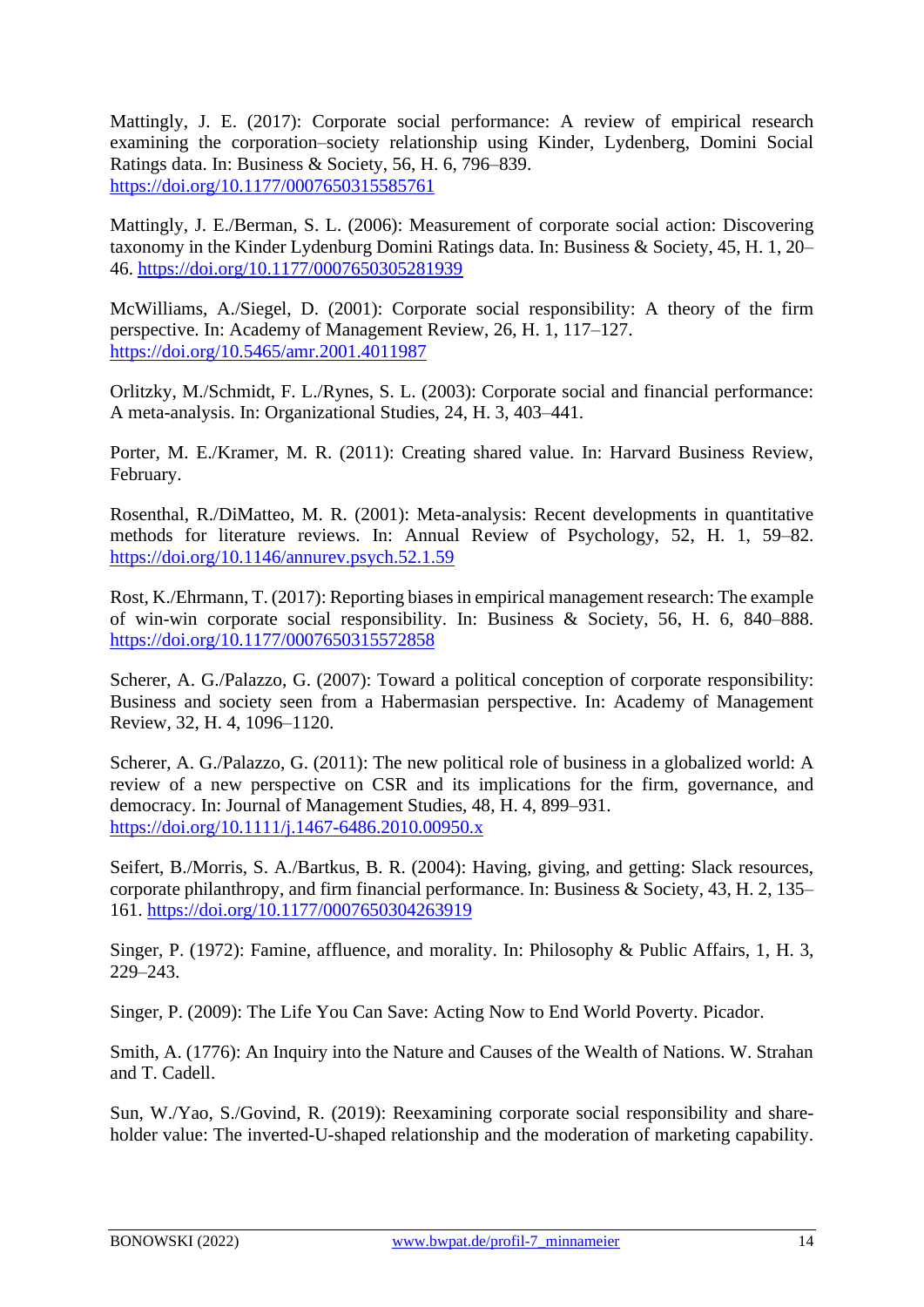Mattingly, J. E. (2017): Corporate social performance: A review of empirical research examining the corporation–society relationship using Kinder, Lydenberg, Domini Social Ratings data. In: Business & Society, 56, H. 6, 796–839. <https://doi.org/10.1177/0007650315585761>

Mattingly, J. E./Berman, S. L. (2006): Measurement of corporate social action: Discovering taxonomy in the Kinder Lydenburg Domini Ratings data. In: Business & Society, 45, H. 1, 20– 46.<https://doi.org/10.1177/0007650305281939>

McWilliams, A./Siegel, D. (2001): Corporate social responsibility: A theory of the firm perspective. In: Academy of Management Review, 26, H. 1, 117–127. <https://doi.org/10.5465/amr.2001.4011987>

Orlitzky, M./Schmidt, F. L./Rynes, S. L. (2003): Corporate social and financial performance: A meta-analysis. In: Organizational Studies, 24, H. 3, 403–441.

Porter, M. E./Kramer, M. R. (2011): Creating shared value. In: Harvard Business Review, February.

Rosenthal, R./DiMatteo, M. R. (2001): Meta-analysis: Recent developments in quantitative methods for literature reviews. In: Annual Review of Psychology, 52, H. 1, 59–82. <https://doi.org/10.1146/annurev.psych.52.1.59>

Rost, K./Ehrmann, T. (2017): Reporting biases in empirical management research: The example of win-win corporate social responsibility. In: Business & Society, 56, H. 6, 840–888. <https://doi.org/10.1177/0007650315572858>

Scherer, A. G./Palazzo, G. (2007): Toward a political conception of corporate responsibility: Business and society seen from a Habermasian perspective. In: Academy of Management Review, 32, H. 4, 1096–1120.

Scherer, A. G./Palazzo, G. (2011): The new political role of business in a globalized world: A review of a new perspective on CSR and its implications for the firm, governance, and democracy. In: Journal of Management Studies, 48, H. 4, 899–931. <https://doi.org/10.1111/j.1467-6486.2010.00950.x>

Seifert, B./Morris, S. A./Bartkus, B. R. (2004): Having, giving, and getting: Slack resources, corporate philanthropy, and firm financial performance. In: Business & Society, 43, H. 2, 135– 161.<https://doi.org/10.1177/0007650304263919>

Singer, P. (1972): Famine, affluence, and morality. In: Philosophy & Public Affairs, 1, H. 3, 229–243.

Singer, P. (2009): The Life You Can Save: Acting Now to End World Poverty. Picador.

Smith, A. (1776): An Inquiry into the Nature and Causes of the Wealth of Nations. W. Strahan and T. Cadell.

Sun, W./Yao, S./Govind, R. (2019): Reexamining corporate social responsibility and shareholder value: The inverted-U-shaped relationship and the moderation of marketing capability.